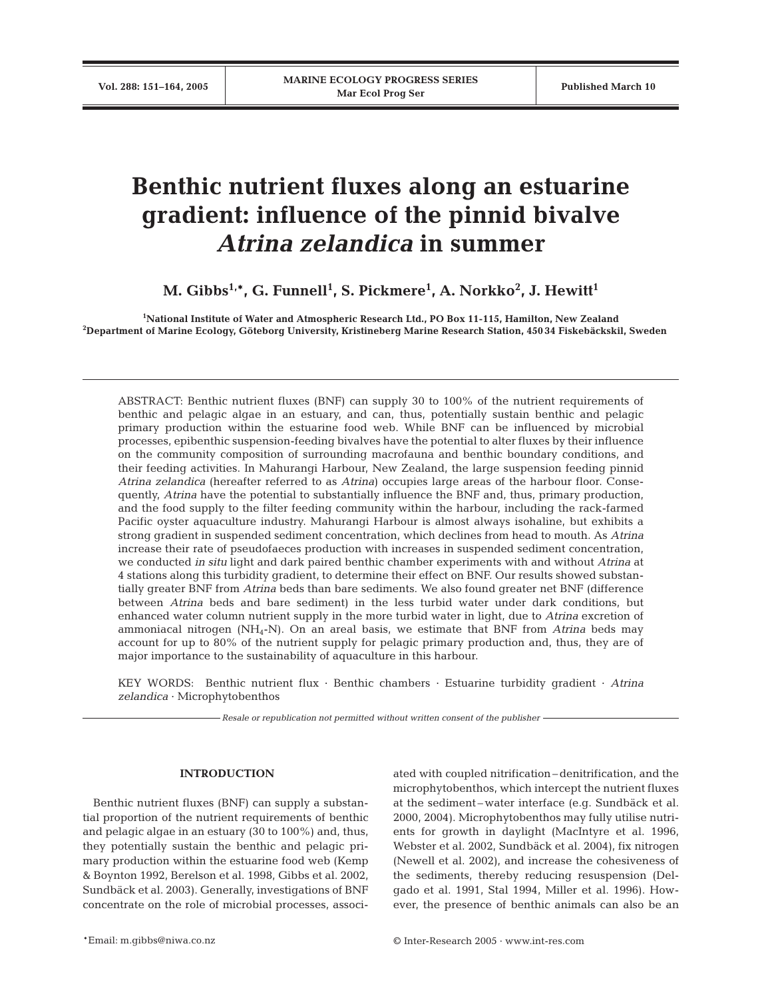# **Benthic nutrient fluxes along an estuarine gradient: influence of the pinnid bivalve** *Atrina zelandica* **in summer**

**M. Gibbs1,\*, G. Funnell1 , S. Pickmere1 , A. Norkko<sup>2</sup> , J. Hewitt1**

**1 National Institute of Water and Atmospheric Research Ltd., PO Box 11-115, Hamilton, New Zealand 2 Department of Marine Ecology, Göteborg University, Kristineberg Marine Research Station, 450 34 Fiskebäckskil, Sweden**

ABSTRACT: Benthic nutrient fluxes (BNF) can supply 30 to 100% of the nutrient requirements of benthic and pelagic algae in an estuary, and can, thus, potentially sustain benthic and pelagic primary production within the estuarine food web. While BNF can be influenced by microbial processes, epibenthic suspension-feeding bivalves have the potential to alter fluxes by their influence on the community composition of surrounding macrofauna and benthic boundary conditions, and their feeding activities. In Mahurangi Harbour, New Zealand, the large suspension feeding pinnid *Atrina zelandica* (hereafter referred to as *Atrina*) occupies large areas of the harbour floor. Consequently, *Atrina* have the potential to substantially influence the BNF and, thus, primary production, and the food supply to the filter feeding community within the harbour, including the rack-farmed Pacific oyster aquaculture industry. Mahurangi Harbour is almost always isohaline, but exhibits a strong gradient in suspended sediment concentration, which declines from head to mouth. As *Atrina* increase their rate of pseudofaeces production with increases in suspended sediment concentration, we conducted *in situ* light and dark paired benthic chamber experiments with and without *Atrina* at 4 stations along this turbidity gradient, to determine their effect on BNF. Our results showed substantially greater BNF from *Atrina* beds than bare sediments. We also found greater net BNF (difference between *Atrina* beds and bare sediment) in the less turbid water under dark conditions, but enhanced water column nutrient supply in the more turbid water in light, due to *Atrina* excretion of ammoniacal nitrogen (NH4-N). On an areal basis, we estimate that BNF from *Atrina* beds may account for up to 80% of the nutrient supply for pelagic primary production and, thus, they are of major importance to the sustainability of aquaculture in this harbour.

KEY WORDS: Benthic nutrient flux · Benthic chambers · Estuarine turbidity gradient · *Atrina zelandica* · Microphytobenthos

*Resale or republication not permitted without written consent of the publisher*

## **INTRODUCTION**

Benthic nutrient fluxes (BNF) can supply a substantial proportion of the nutrient requirements of benthic and pelagic algae in an estuary (30 to 100%) and, thus, they potentially sustain the benthic and pelagic primary production within the estuarine food web (Kemp & Boynton 1992, Berelson et al. 1998, Gibbs et al. 2002, Sundbäck et al. 2003). Generally, investigations of BNF concentrate on the role of microbial processes, associated with coupled nitrification– denitrification, and the microphytobenthos, which intercept the nutrient fluxes at the sediment – water interface (e.g. Sundbäck et al. 2000, 2004). Microphytobenthos may fully utilise nutrients for growth in daylight (MacIntyre et al. 1996, Webster et al. 2002, Sundbäck et al. 2004), fix nitrogen (Newell et al. 2002), and increase the cohesiveness of the sediments, thereby reducing resuspension (Delgado et al. 1991, Stal 1994, Miller et al. 1996). However, the presence of benthic animals can also be an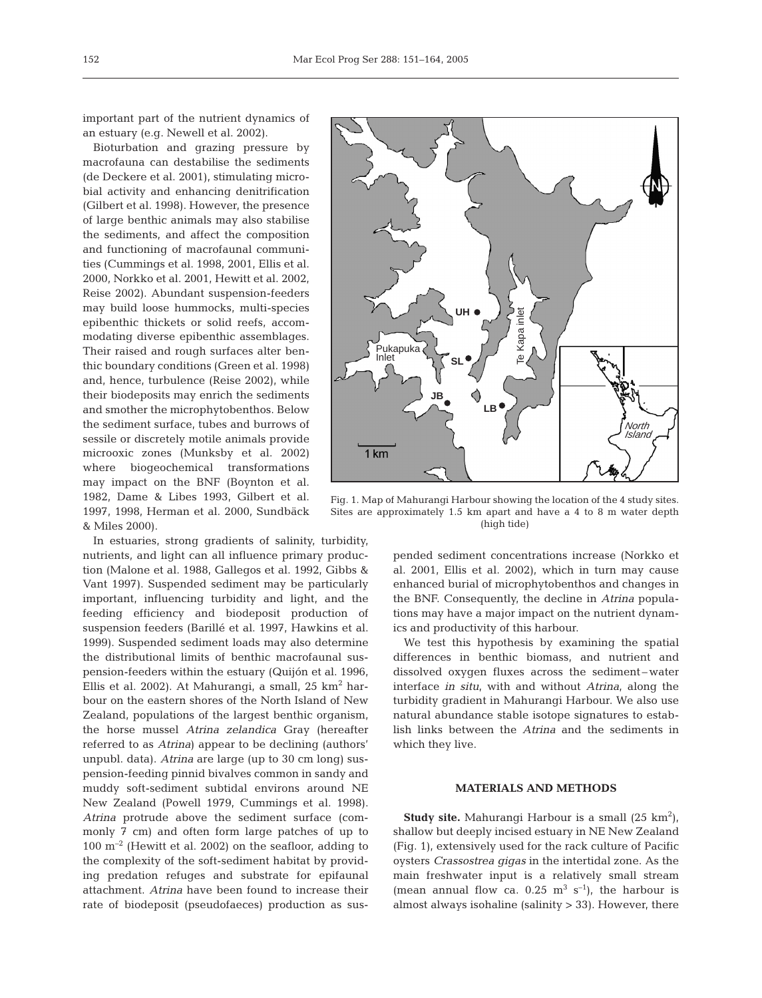important part of the nutrient dynamics of an estuary (e.g. Newell et al. 2002).

Bioturbation and grazing pressure by macrofauna can destabilise the sediments (de Deckere et al. 2001), stimulating microbial activity and enhancing denitrification (Gilbert et al. 1998). However, the presence of large benthic animals may also stabilise the sediments, and affect the composition and functioning of macrofaunal communities (Cummings et al. 1998, 2001, Ellis et al. 2000, Norkko et al. 2001, Hewitt et al. 2002, Reise 2002). Abundant suspension-feeders may build loose hummocks, multi-species epibenthic thickets or solid reefs, accommodating diverse epibenthic assemblages. Their raised and rough surfaces alter benthic boundary conditions (Green et al. 1998) and, hence, turbulence (Reise 2002), while their biodeposits may enrich the sediments and smother the microphytobenthos. Below the sediment surface, tubes and burrows of sessile or discretely motile animals provide microoxic zones (Munksby et al. 2002) where biogeochemical transformations may impact on the BNF (Boynton et al. 1982, Dame & Libes 1993, Gilbert et al. 1997, 1998, Herman et al. 2000, Sundbäck & Miles 2000).

In estuaries, strong gradients of salinity, turbidity, nutrients, and light can all influence primary production (Malone et al. 1988, Gallegos et al. 1992, Gibbs & Vant 1997). Suspended sediment may be particularly important, influencing turbidity and light, and the feeding efficiency and biodeposit production of suspension feeders (Barillé et al. 1997, Hawkins et al. 1999). Suspended sediment loads may also determine the distributional limits of benthic macrofaunal suspension-feeders within the estuary (Quijón et al. 1996, Ellis et al. 2002). At Mahurangi, a small,  $25 \text{ km}^2$  harbour on the eastern shores of the North Island of New Zealand, populations of the largest benthic organism, the horse mussel *Atrina zelandica* Gray (hereafter referred to as *Atrina*) appear to be declining (authors' unpubl. data). *Atrina* are large (up to 30 cm long) suspension-feeding pinnid bivalves common in sandy and muddy soft-sediment subtidal environs around NE New Zealand (Powell 1979, Cummings et al. 1998). *Atrina* protrude above the sediment surface (commonly 7 cm) and often form large patches of up to  $100 \text{ m}^{-2}$  (Hewitt et al. 2002) on the seafloor, adding to the complexity of the soft-sediment habitat by providing predation refuges and substrate for epifaunal attachment. *Atrina* have been found to increase their rate of biodeposit (pseudofaeces) production as sus-



Fig. 1. Map of Mahurangi Harbour showing the location of the 4 study sites. Sites are approximately 1.5 km apart and have a 4 to 8 m water depth

pended sediment concentrations increase (Norkko et al. 2001, Ellis et al. 2002), which in turn may cause enhanced burial of microphytobenthos and changes in the BNF. Consequently, the decline in *Atrina* populations may have a major impact on the nutrient dynamics and productivity of this harbour.

We test this hypothesis by examining the spatial differences in benthic biomass, and nutrient and dissolved oxygen fluxes across the sediment-water interface *in situ*, with and without *Atrina*, along the turbidity gradient in Mahurangi Harbour. We also use natural abundance stable isotope signatures to establish links between the *Atrina* and the sediments in which they live.

# **MATERIALS AND METHODS**

**Study site.** Mahurangi Harbour is a small (25 km<sup>2</sup>), shallow but deeply incised estuary in NE New Zealand (Fig. 1), extensively used for the rack culture of Pacific oysters *Crassostrea gigas* in the intertidal zone. As the main freshwater input is a relatively small stream (mean annual flow ca.  $0.25 \text{ m}^3 \text{ s}^{-1}$ ), the harbour is almost always isohaline (salinity > 33). However, there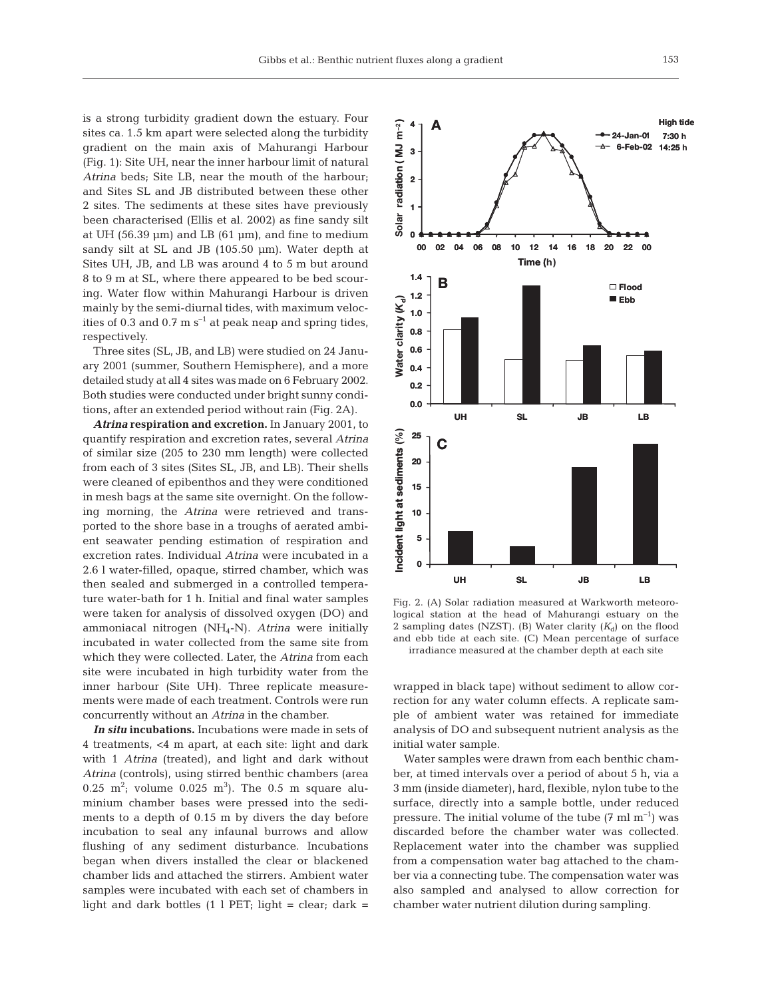is a strong turbidity gradient down the estuary. Four sites ca. 1.5 km apart were selected along the turbidity gradient on the main axis of Mahurangi Harbour (Fig. 1): Site UH, near the inner harbour limit of natural *Atrina* beds; Site LB, near the mouth of the harbour; and Sites SL and JB distributed between these other 2 sites. The sediments at these sites have previously been characterised (Ellis et al. 2002) as fine sandy silt at UH (56.39  $\mu$ m) and LB (61  $\mu$ m), and fine to medium sandy silt at SL and JB (105.50 µm). Water depth at Sites UH, JB, and LB was around 4 to 5 m but around 8 to 9 m at SL, where there appeared to be bed scouring. Water flow within Mahurangi Harbour is driven mainly by the semi-diurnal tides, with maximum velocities of 0.3 and 0.7 m  $s^{-1}$  at peak neap and spring tides, respectively.

Three sites (SL, JB, and LB) were studied on 24 January 2001 (summer, Southern Hemisphere), and a more detailed study at all 4 sites was made on 6 February 2002. Both studies were conducted under bright sunny conditions, after an extended period without rain (Fig. 2A).

*Atrina* **respiration and excretion.** In January 2001, to quantify respiration and excretion rates, several *Atrina* of similar size (205 to 230 mm length) were collected from each of 3 sites (Sites SL, JB, and LB). Their shells were cleaned of epibenthos and they were conditioned in mesh bags at the same site overnight. On the following morning, the *Atrina* were retrieved and transported to the shore base in a troughs of aerated ambient seawater pending estimation of respiration and excretion rates. Individual *Atrina* were incubated in a 2.6 l water-filled, opaque, stirred chamber, which was then sealed and submerged in a controlled temperature water-bath for 1 h. Initial and final water samples were taken for analysis of dissolved oxygen (DO) and ammoniacal nitrogen (NH4-N). *Atrina* were initially incubated in water collected from the same site from which they were collected. Later, the *Atrina* from each site were incubated in high turbidity water from the inner harbour (Site UH). Three replicate measurements were made of each treatment. Controls were run concurrently without an *Atrina* in the chamber.

*In situ* **incubations.** Incubations were made in sets of 4 treatments, <4 m apart, at each site: light and dark with 1 *Atrina* (treated), and light and dark without *Atrina* (controls), using stirred benthic chambers (area 0.25  $m^2$ ; volume 0.025  $m^3$ ). The 0.5 m square aluminium chamber bases were pressed into the sediments to a depth of 0.15 m by divers the day before incubation to seal any infaunal burrows and allow flushing of any sediment disturbance. Incubations began when divers installed the clear or blackened chamber lids and attached the stirrers. Ambient water samples were incubated with each set of chambers in light and dark bottles  $(1 \ 1 \ 1 \ 1)$  PET; light = clear; dark =



Fig. 2. (A) Solar radiation measured at Warkworth meteorological station at the head of Mahurangi estuary on the 2 sampling dates (NZST). (B) Water clarity  $(K_d)$  on the flood and ebb tide at each site. (C) Mean percentage of surface irradiance measured at the chamber depth at each site

wrapped in black tape) without sediment to allow correction for any water column effects. A replicate sample of ambient water was retained for immediate analysis of DO and subsequent nutrient analysis as the initial water sample.

Water samples were drawn from each benthic chamber, at timed intervals over a period of about 5 h, via a 3 mm (inside diameter), hard, flexible, nylon tube to the surface, directly into a sample bottle, under reduced pressure. The initial volume of the tube  $(7 \text{ ml } m^{-1})$  was discarded before the chamber water was collected. Replacement water into the chamber was supplied from a compensation water bag attached to the chamber via a connecting tube. The compensation water was also sampled and analysed to allow correction for chamber water nutrient dilution during sampling.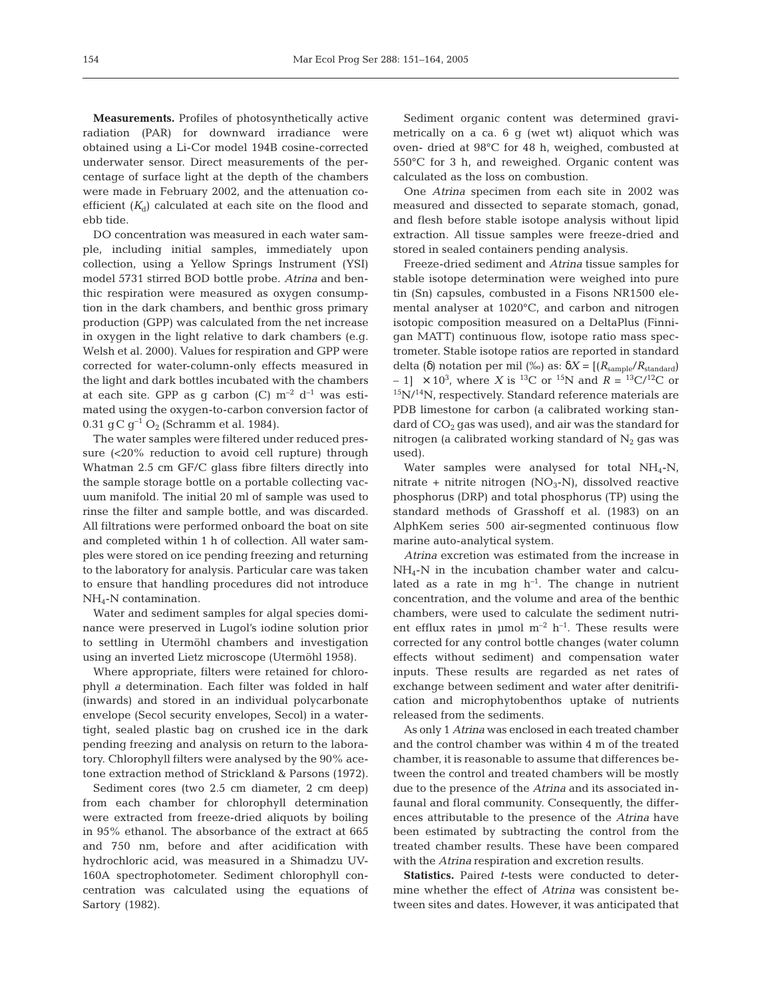**Measurements.** Profiles of photosynthetically active radiation (PAR) for downward irradiance were obtained using a Li-Cor model 194B cosine-corrected underwater sensor. Direct measurements of the percentage of surface light at the depth of the chambers were made in February 2002, and the attenuation coefficient  $(K_d)$  calculated at each site on the flood and ebb tide.

DO concentration was measured in each water sample, including initial samples, immediately upon collection, using a Yellow Springs Instrument (YSI) model 5731 stirred BOD bottle probe. *Atrina* and benthic respiration were measured as oxygen consumption in the dark chambers, and benthic gross primary production (GPP) was calculated from the net increase in oxygen in the light relative to dark chambers (e.g. Welsh et al. 2000). Values for respiration and GPP were corrected for water-column-only effects measured in the light and dark bottles incubated with the chambers at each site. GPP as g carbon (C)  $m^{-2}$  d<sup>-1</sup> was estimated using the oxygen-to-carbon conversion factor of 0.31 q C q<sup>-1</sup> O<sub>2</sub> (Schramm et al. 1984).

The water samples were filtered under reduced pressure (<20% reduction to avoid cell rupture) through Whatman 2.5 cm GF/C glass fibre filters directly into the sample storage bottle on a portable collecting vacuum manifold. The initial 20 ml of sample was used to rinse the filter and sample bottle, and was discarded. All filtrations were performed onboard the boat on site and completed within 1 h of collection. All water samples were stored on ice pending freezing and returning to the laboratory for analysis. Particular care was taken to ensure that handling procedures did not introduce NH4-N contamination.

Water and sediment samples for algal species dominance were preserved in Lugol's iodine solution prior to settling in Utermöhl chambers and investigation using an inverted Lietz microscope (Utermöhl 1958).

Where appropriate, filters were retained for chlorophyll *a* determination. Each filter was folded in half (inwards) and stored in an individual polycarbonate envelope (Secol security envelopes, Secol) in a watertight, sealed plastic bag on crushed ice in the dark pending freezing and analysis on return to the laboratory. Chlorophyll filters were analysed by the 90% acetone extraction method of Strickland & Parsons (1972).

Sediment cores (two 2.5 cm diameter, 2 cm deep) from each chamber for chlorophyll determination were extracted from freeze-dried aliquots by boiling in 95% ethanol. The absorbance of the extract at 665 and 750 nm, before and after acidification with hydrochloric acid, was measured in a Shimadzu UV-160A spectrophotometer. Sediment chlorophyll concentration was calculated using the equations of Sartory (1982).

Sediment organic content was determined gravimetrically on a ca. 6 g (wet wt) aliquot which was oven- dried at 98°C for 48 h, weighed, combusted at 550°C for 3 h, and reweighed. Organic content was calculated as the loss on combustion.

One *Atrina* specimen from each site in 2002 was measured and dissected to separate stomach, gonad, and flesh before stable isotope analysis without lipid extraction. All tissue samples were freeze-dried and stored in sealed containers pending analysis.

Freeze-dried sediment and *Atrina* tissue samples for stable isotope determination were weighed into pure tin (Sn) capsules, combusted in a Fisons NR1500 elemental analyser at 1020°C, and carbon and nitrogen isotopic composition measured on a DeltaPlus (Finnigan MATT) continuous flow, isotope ratio mass spectrometer. Stable isotope ratios are reported in standard delta (δ) notation per mil (‰) as:  $δX = [(R_{\text{sample}}/R_{\text{standard}})]$  $-1$ ]  $\times$  10<sup>3</sup>, where *X* is <sup>13</sup>C or <sup>15</sup>N and *R* = <sup>13</sup>C/<sup>12</sup>C or  $15N/14N$ , respectively. Standard reference materials are PDB limestone for carbon (a calibrated working standard of  $CO<sub>2</sub>$  gas was used), and air was the standard for nitrogen (a calibrated working standard of  $N_2$  gas was used).

Water samples were analysed for total  $NH_4-N$ , nitrate + nitrite nitrogen  $(NO<sub>3</sub>-N)$ , dissolved reactive phosphorus (DRP) and total phosphorus (TP) using the standard methods of Grasshoff et al. (1983) on an AlphKem series 500 air-segmented continuous flow marine auto-analytical system.

*Atrina* excretion was estimated from the increase in NH4-N in the incubation chamber water and calculated as a rate in mg  $h^{-1}$ . The change in nutrient concentration, and the volume and area of the benthic chambers, were used to calculate the sediment nutrient efflux rates in  $\mu$ mol m<sup>-2</sup> h<sup>-1</sup>. These results were corrected for any control bottle changes (water column effects without sediment) and compensation water inputs. These results are regarded as net rates of exchange between sediment and water after denitrification and microphytobenthos uptake of nutrients released from the sediments.

As only 1 *Atrina* was enclosed in each treated chamber and the control chamber was within 4 m of the treated chamber, it is reasonable to assume that differences between the control and treated chambers will be mostly due to the presence of the *Atrina* and its associated infaunal and floral community. Consequently, the differences attributable to the presence of the *Atrina* have been estimated by subtracting the control from the treated chamber results. These have been compared with the *Atrina* respiration and excretion results.

**Statistics.** Paired *t*-tests were conducted to determine whether the effect of *Atrina* was consistent between sites and dates. However, it was anticipated that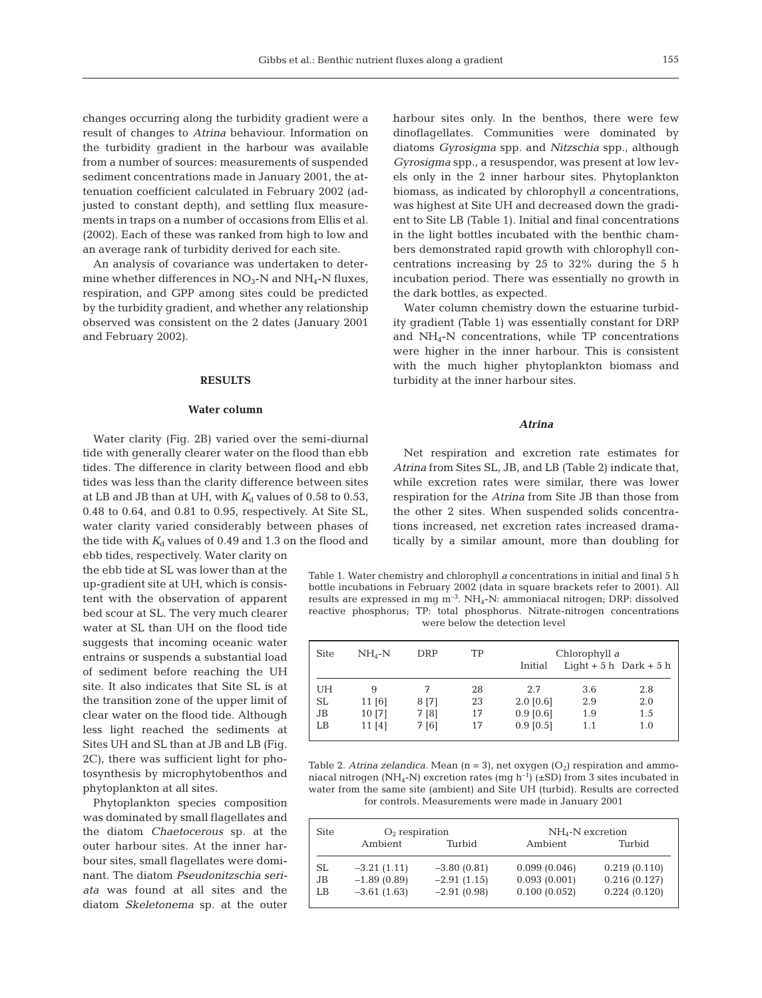changes occurring along the turbidity gradient were a result of changes to *Atrina* behaviour. Information on the turbidity gradient in the harbour was available from a number of sources: measurements of suspended sediment concentrations made in January 2001, the attenuation coefficient calculated in February 2002 (adjusted to constant depth), and settling flux measurements in traps on a number of occasions from Ellis et al. (2002). Each of these was ranked from high to low and an average rank of turbidity derived for each site.

An analysis of covariance was undertaken to determine whether differences in  $NO<sub>3</sub>$ -N and  $NH<sub>4</sub>$ -N fluxes, respiration, and GPP among sites could be predicted by the turbidity gradient, and whether any relationship observed was consistent on the 2 dates (January 2001 and February 2002).

# **RESULTS**

# **Water column**

Water clarity (Fig. 2B) varied over the semi-diurnal tide with generally clearer water on the flood than ebb tides. The difference in clarity between flood and ebb tides was less than the clarity difference between sites at LB and JB than at UH, with  $K_d$  values of 0.58 to 0.53, 0.48 to 0.64, and 0.81 to 0.95, respectively. At Site SL, water clarity varied considerably between phases of the tide with  $K_d$  values of 0.49 and 1.3 on the flood and

ebb tides, respectively. Water clarity on the ebb tide at SL was lower than at the up-gradient site at UH, which is consistent with the observation of apparent bed scour at SL. The very much clearer water at SL than UH on the flood tide suggests that incoming oceanic water entrains or suspends a substantial load of sediment before reaching the UH site. It also indicates that Site SL is at the transition zone of the upper limit of clear water on the flood tide. Although less light reached the sediments at Sites UH and SL than at JB and LB (Fig. 2C), there was sufficient light for photosynthesis by microphytobenthos and phytoplankton at all sites.

Phytoplankton species composition was dominated by small flagellates and the diatom *Chaetocerous* sp. at the outer harbour sites. At the inner harbour sites, small flagellates were dominant. The diatom *Pseudonitzschia seriata* was found at all sites and the diatom *Skeletonema* sp. at the outer

harbour sites only. In the benthos, there were few dinoflagellates. Communities were dominated by diatoms *Gyrosigma* spp. and *Nitzschia* spp., although *Gyrosigma* spp., a resuspendor, was present at low levels only in the 2 inner harbour sites. Phytoplankton biomass, as indicated by chlorophyll *a* concentrations, was highest at Site UH and decreased down the gradient to Site LB (Table 1). Initial and final concentrations in the light bottles incubated with the benthic chambers demonstrated rapid growth with chlorophyll concentrations increasing by 25 to 32% during the 5 h incubation period. There was essentially no growth in the dark bottles, as expected.

Water column chemistry down the estuarine turbidity gradient (Table 1) was essentially constant for DRP and NH4-N concentrations, while TP concentrations were higher in the inner harbour. This is consistent with the much higher phytoplankton biomass and turbidity at the inner harbour sites.

## *Atrina*

Net respiration and excretion rate estimates for *Atrina* from Sites SL, JB, and LB (Table 2) indicate that, while excretion rates were similar, there was lower respiration for the *Atrina* from Site JB than those from the other 2 sites. When suspended solids concentrations increased, net excretion rates increased dramatically by a similar amount, more than doubling for

Table 1. Water chemistry and chlorophyll *a* concentrations in initial and final 5 h bottle incubations in February 2002 (data in square brackets refer to 2001). All results are expressed in mg  $m^{-3}$ . NH<sub>4</sub>-N: ammoniacal nitrogen; DRP: dissolved reactive phosphorus; TP: total phosphorus. Nitrate-nitrogen concentrations were below the detection level

| <b>Site</b> | $NH_A-N$ | <b>DRP</b> | TP | Initial     | Chlorophyll a | Light $+5h$ Dark $+5h$ |
|-------------|----------|------------|----|-------------|---------------|------------------------|
| UH          | 9        | 7          | 28 | 2.7         | 3.6           | 2.8                    |
| <b>SL</b>   | 11 [6]   | 8 [7]      | 23 | $2.0$ [0.6] | 2.9           | 2.0                    |
| JB          | 10 [7]   | 7 [8]      | 17 | $0.9$ [0.6] | 1.9           | 1.5                    |
| LB          | 11[4]    | 7 [6]      | 17 | $0.9$ [0.5] | 1.1           | 1.0                    |

Table 2. *Atrina zelandica*. Mean  $(n = 3)$ , net oxygen  $(O_2)$  respiration and ammoniacal nitrogen (NH<sub>4</sub>-N) excretion rates (mg h<sup>-1</sup>) ( $\pm$ SD) from 3 sites incubated in water from the same site (ambient) and Site UH (turbid). Results are corrected for controls. Measurements were made in January 2001

|               |               | $NH4-N$ excretion |              |  |  |
|---------------|---------------|-------------------|--------------|--|--|
| Ambient       | Turbid        | Ambient           | Turbid       |  |  |
| $-3.21(1.11)$ | $-3.80(0.81)$ | 0.099(0.046)      | 0.219(0.110) |  |  |
| $-1.89(0.89)$ | $-2.91(1.15)$ | 0.093(0.001)      | 0.216(0.127) |  |  |
| $-3.61(1.63)$ | $-2.91(0.98)$ | 0.100(0.052)      | 0.224(0.120) |  |  |
|               |               | $O2$ respiration  |              |  |  |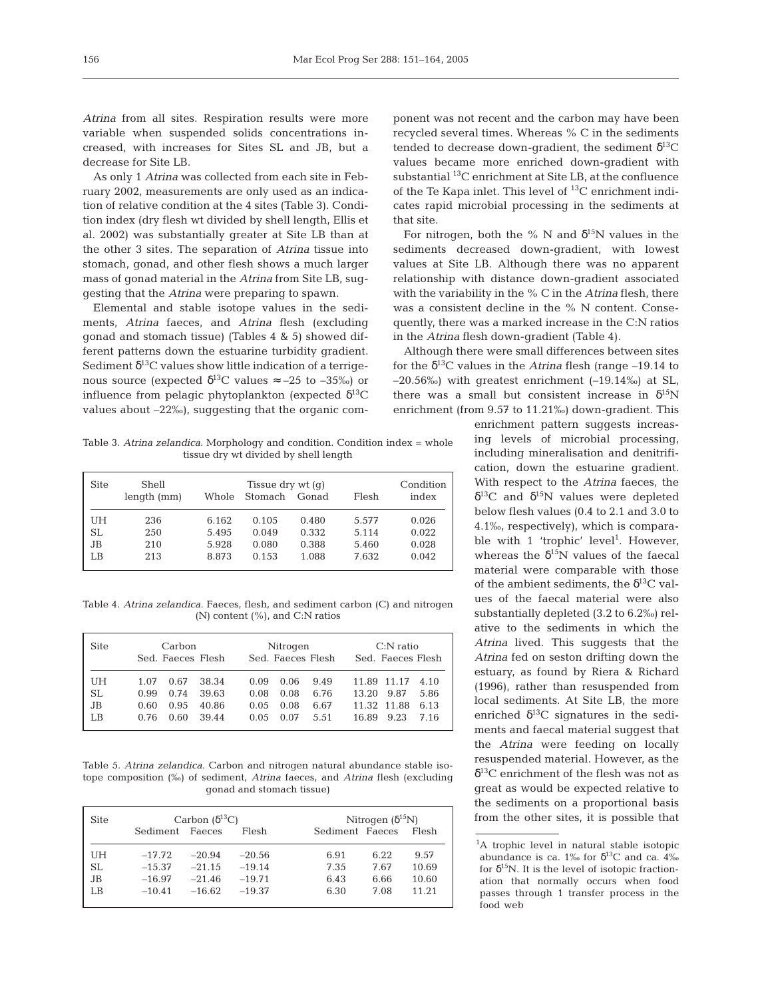*Atrina* from all sites. Respiration results were more variable when suspended solids concentrations increased, with increases for Sites SL and JB, but a decrease for Site LB.

As only 1 *Atrina* was collected from each site in February 2002, measurements are only used as an indication of relative condition at the 4 sites (Table 3). Condition index (dry flesh wt divided by shell length, Ellis et al. 2002) was substantially greater at Site LB than at the other 3 sites. The separation of *Atrina* tissue into stomach, gonad, and other flesh shows a much larger mass of gonad material in the *Atrina* from Site LB, suggesting that the *Atrina* were preparing to spawn.

Elemental and stable isotope values in the sediments, *Atrina* faeces, and *Atrina* flesh (excluding gonad and stomach tissue) (Tables 4 & 5) showed different patterns down the estuarine turbidity gradient. Sediment  $\delta^{13}$ C values show little indication of a terrigenous source (expected  $\delta^{13}$ C values ≈ –25 to –35‰) or influence from pelagic phytoplankton (expected  $\delta^{13}C$ values about –22‰), suggesting that the organic com-

Table 3. *Atrina zelandica*. Morphology and condition. Condition index = whole tissue dry wt divided by shell length

| <b>Site</b> | Shell<br>length (mm) | Whole | Tissue dry $wt(q)$<br>Stomach | Flesh | Condition<br>index |       |
|-------------|----------------------|-------|-------------------------------|-------|--------------------|-------|
| UH          | 236                  | 6.162 | 0.105                         | 0.480 | 5.577              | 0.026 |
| SL.         | 250                  | 5.495 | 0.049                         | 0.332 | 5.114              | 0.022 |
| JB.         | 210                  | 5.928 | 0.080                         | 0.388 | 5.460              | 0.028 |
| LB          | 213                  | 8.873 | 0.153                         | 1.088 | 7.632              | 0.042 |

Table 4. *Atrina zelandica*. Faeces, flesh, and sediment carbon (C) and nitrogen (N) content  $(\%)$ , and C:N ratios

| <b>Site</b>     | Carbon                                                                  | Nitrogen                                                             | $C:$ N ratio                                                        |
|-----------------|-------------------------------------------------------------------------|----------------------------------------------------------------------|---------------------------------------------------------------------|
|                 | Sed. Faeces Flesh                                                       | Sed. Faeces Flesh                                                    | Sed. Faeces Flesh                                                   |
| UH<br>SL.<br>JB | 0.67<br>38.34<br>1.07<br>0.74<br>39.63<br>0.99<br>0.95<br>40.86<br>0.60 | 0.06<br>9.49<br>0.09<br>0.08<br>6.76<br>0.08<br>0.08<br>6.67<br>0.05 | 11.89 11.17<br>4.10<br>5.86<br>9.87<br>13.20<br>11.32 11.88<br>6.13 |
| LB              | 39.44                                                                   | 0.07                                                                 | 9.23                                                                |
|                 | 0.60                                                                    | 5.51                                                                 | 7.16                                                                |
|                 | 0.76                                                                    | 0.05                                                                 | 16.89                                                               |

Table 5. *Atrina zelandica*. Carbon and nitrogen natural abundance stable isotope composition (‰) of sediment, *Atrina* faeces, and *Atrina* flesh (excluding gonad and stomach tissue)

| <b>Site</b> |                 | Carbon $(\delta^{13}C)$ |          | Nitrogen $(\delta^{15}N)$ |      |       |  |
|-------------|-----------------|-------------------------|----------|---------------------------|------|-------|--|
|             | Sediment Faeces |                         | Flesh    | Sediment Faeces           |      | Flesh |  |
| UH          | $-17.72$        | $-20.94$                | $-20.56$ | 6.91                      | 6.22 | 9.57  |  |
| <b>SL</b>   | $-15.37$        | $-21.15$                | $-19.14$ | 7.35                      | 7.67 | 10.69 |  |
| JB          | $-16.97$        | $-21.46$                | $-19.71$ | 6.43                      | 6.66 | 10.60 |  |
| LB          | $-10.41$        | $-16.62$                | $-19.37$ | 6.30                      | 7.08 | 11.21 |  |

ponent was not recent and the carbon may have been recycled several times. Whereas % C in the sediments tended to decrease down-gradient, the sediment  $\delta^{13}C$ values became more enriched down-gradient with substantial <sup>13</sup>C enrichment at Site LB, at the confluence of the Te Kapa inlet. This level of 13C enrichment indicates rapid microbial processing in the sediments at that site.

For nitrogen, both the % N and  $\delta^{15}N$  values in the sediments decreased down-gradient, with lowest values at Site LB. Although there was no apparent relationship with distance down-gradient associated with the variability in the % C in the *Atrina* flesh, there was a consistent decline in the % N content. Consequently, there was a marked increase in the C:N ratios in the *Atrina* flesh down-gradient (Table 4).

Although there were small differences between sites for the  $\delta^{13}$ C values in the *Atrina* flesh (range –19.14 to  $-20.56\%$ ) with greatest enrichment  $(-19.14\%)$  at SL, there was a small but consistent increase in  $\delta^{15}N$ enrichment (from 9.57 to 11.21‰) down-gradient. This

> enrichment pattern suggests increasing levels of microbial processing, including mineralisation and denitrification, down the estuarine gradient. With respect to the *Atrina* faeces, the  $δ<sup>13</sup>C$  and  $δ<sup>15</sup>N$  values were depleted below flesh values (0.4 to 2.1 and 3.0 to 4.1‰, respectively), which is comparable with 1 'trophic' level<sup>1</sup>. However, whereas the  $\delta^{15}$ N values of the faecal material were comparable with those of the ambient sediments, the  $\delta^{13}$ C values of the faecal material were also substantially depleted (3.2 to 6.2‰) relative to the sediments in which the *Atrina* lived. This suggests that the *Atrina* fed on seston drifting down the estuary, as found by Riera & Richard (1996), rather than resuspended from local sediments. At Site LB, the more enriched  $\delta^{13}$ C signatures in the sediments and faecal material suggest that the *Atrina* were feeding on locally resuspended material. However, as the  $\delta^{13}$ C enrichment of the flesh was not as great as would be expected relative to the sediments on a proportional basis from the other sites, it is possible that

<sup>&</sup>lt;sup>1</sup>A trophic level in natural stable isotopic abundance is ca. 1‰ for  $\delta^{13}$ C and ca. 4‰ for  $\delta^{15}N$ . It is the level of isotopic fractionation that normally occurs when food passes through 1 transfer process in the food web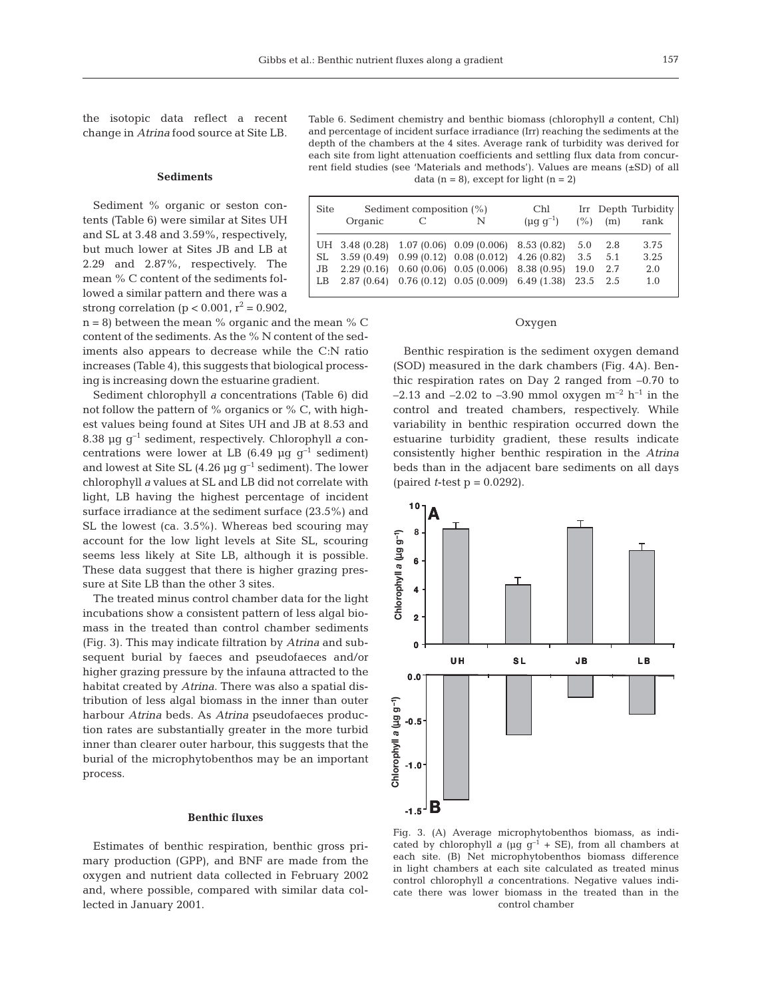the isotopic data reflect a recent change in *Atrina* food source at Site LB.

## **Sediments**

Sediment % organic or seston contents (Table 6) were similar at Sites UH and SL at 3.48 and 3.59%, respectively, but much lower at Sites JB and LB at 2.29 and 2.87%, respectively. The mean % C content of the sediments followed a similar pattern and there was a strong correlation (p < 0.001,  $r^2$  = 0.902,

 $n = 8$ ) between the mean % organic and the mean % C content of the sediments. As the % N content of the sediments also appears to decrease while the C:N ratio increases (Table 4), this suggests that biological processing is increasing down the estuarine gradient.

Sediment chlorophyll *a* concentrations (Table 6) did not follow the pattern of % organics or % C, with highest values being found at Sites UH and JB at 8.53 and 8.38 µg g–1 sediment, respectively. Chlorophyll *a* concentrations were lower at LB (6.49 µg  $g^{-1}$  sediment) and lowest at Site SL (4.26  $\mu$ g g<sup>-1</sup> sediment). The lower chlorophyll *a* values at SL and LB did not correlate with light, LB having the highest percentage of incident surface irradiance at the sediment surface (23.5%) and SL the lowest (ca. 3.5%). Whereas bed scouring may account for the low light levels at Site SL, scouring seems less likely at Site LB, although it is possible. These data suggest that there is higher grazing pressure at Site LB than the other 3 sites.

The treated minus control chamber data for the light incubations show a consistent pattern of less algal biomass in the treated than control chamber sediments (Fig. 3). This may indicate filtration by *Atrina* and subsequent burial by faeces and pseudofaeces and/or higher grazing pressure by the infauna attracted to the habitat created by *Atrina*. There was also a spatial distribution of less algal biomass in the inner than outer harbour *Atrina* beds. As *Atrina* pseudofaeces production rates are substantially greater in the more turbid inner than clearer outer harbour, this suggests that the burial of the microphytobenthos may be an important process.

#### **Benthic fluxes**

Estimates of benthic respiration, benthic gross primary production (GPP), and BNF are made from the oxygen and nutrient data collected in February 2002 and, where possible, compared with similar data collected in January 2001.

Table 6. Sediment chemistry and benthic biomass (chlorophyll *a* content, Chl) and percentage of incident surface irradiance (Irr) reaching the sediments at the depth of the chambers at the 4 sites. Average rank of turbidity was derived for each site from light attenuation coefficients and settling flux data from concurrent field studies (see 'Materials and methods'). Values are means (±SD) of all data  $(n = 8)$ , except for light  $(n = 2)$ 

| <b>Site</b> | Sediment composition (%)<br>Organic<br>N |  |                                                                                                                                                                      | Chl<br>$(\mu q q^{-1})$ | (% )        | (m)                       | Irr Depth Turbidity<br>rank |
|-------------|------------------------------------------|--|----------------------------------------------------------------------------------------------------------------------------------------------------------------------|-------------------------|-------------|---------------------------|-----------------------------|
| JB          |                                          |  | UH 3.48 (0.28) 1.07 (0.06) 0.09 (0.006) 8.53 (0.82)<br>$SL$ 3.59 (0.49) 0.99 (0.12) 0.08 (0.012) 4.26 (0.82)<br>$2.29(0.16)$ $0.60(0.06)$ $0.05(0.006)$ $8.38(0.95)$ |                         | 5.0<br>19.0 | 2.8<br>$3.5$ $5.1$<br>2.7 | 3.75<br>3.25<br>2.0         |
|             |                                          |  | LB 2.87 (0.64) 0.76 (0.12) 0.05 (0.009) 6.49 (1.38) 23.5 2.5                                                                                                         |                         |             |                           | 1.0                         |

## Oxygen

Benthic respiration is the sediment oxygen demand (SOD) measured in the dark chambers (Fig. 4A). Benthic respiration rates on Day 2 ranged from –0.70 to –2.13 and –2.02 to –3.90 mmol oxygen  $m^{-2}$  h<sup>-1</sup> in the control and treated chambers, respectively. While variability in benthic respiration occurred down the estuarine turbidity gradient, these results indicate consistently higher benthic respiration in the *Atrina* beds than in the adjacent bare sediments on all days (paired *t*-test p = 0.0292).



Fig. 3. (A) Average microphytobenthos biomass, as indicated by chlorophyll *a* ( $\mu$ g g<sup>-1</sup> + SE), from all chambers at each site. (B) Net microphytobenthos biomass difference in light chambers at each site calculated as treated minus control chlorophyll *a* concentrations. Negative values indicate there was lower biomass in the treated than in the control chamber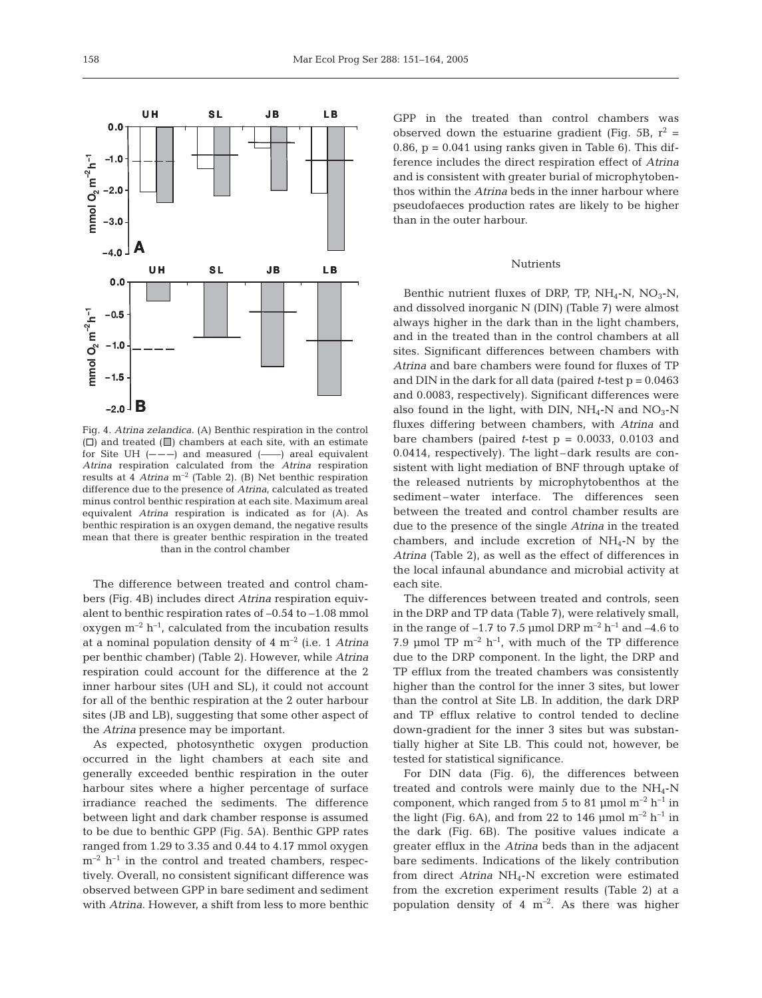Fig. 4. *Atrina zelandica*. (A) Benthic respiration in the control  $(\Box)$  and treated  $(\Box)$  chambers at each site, with an estimate for Site UH  $(- - -)$  and measured  $(- -)$  areal equivalent *Atrina* respiration calculated from the *Atrina* respiration results at 4 *Atrina* m–2 (Table 2). (B) Net benthic respiration difference due to the presence of *Atrina*, calculated as treated minus control benthic respiration at each site. Maximum areal equivalent *Atrina* respiration is indicated as for (A). As benthic respiration is an oxygen demand, the negative results mean that there is greater benthic respiration in the treated than in the control chamber

The difference between treated and control chambers (Fig. 4B) includes direct *Atrina* respiration equivalent to benthic respiration rates of –0.54 to –1.08 mmol oxygen  $m^{-2}$  h<sup>-1</sup>, calculated from the incubation results at a nominal population density of 4 m–2 (i.e. 1 *Atrina* per benthic chamber) (Table 2). However, while *Atrina* respiration could account for the difference at the 2 inner harbour sites (UH and SL), it could not account for all of the benthic respiration at the 2 outer harbour sites (JB and LB), suggesting that some other aspect of the *Atrina* presence may be important.

As expected, photosynthetic oxygen production occurred in the light chambers at each site and generally exceeded benthic respiration in the outer harbour sites where a higher percentage of surface irradiance reached the sediments. The difference between light and dark chamber response is assumed to be due to benthic GPP (Fig. 5A). Benthic GPP rates ranged from 1.29 to 3.35 and 0.44 to 4.17 mmol oxygen  $m^{-2}$  h<sup>-1</sup> in the control and treated chambers, respectively. Overall, no consistent significant difference was observed between GPP in bare sediment and sediment with *Atrina*. However, a shift from less to more benthic

GPP in the treated than control chambers was observed down the estuarine gradient (Fig. 5B,  $r^2$  = 0.86,  $p = 0.041$  using ranks given in Table 6). This difference includes the direct respiration effect of *Atrina* and is consistent with greater burial of microphytobenthos within the *Atrina* beds in the inner harbour where pseudofaeces production rates are likely to be higher than in the outer harbour.

## Nutrients

Benthic nutrient fluxes of DRP, TP,  $NH_4-N$ ,  $NO_3-N$ , and dissolved inorganic N (DIN) (Table 7) were almost always higher in the dark than in the light chambers, and in the treated than in the control chambers at all sites. Significant differences between chambers with *Atrina* and bare chambers were found for fluxes of TP and DIN in the dark for all data (paired *t*-test p = 0.0463 and 0.0083, respectively). Significant differences were also found in the light, with DIN,  $NH_4$ -N and  $NO_3$ -N fluxes differing between chambers, with *Atrina* and bare chambers (paired  $t$ -test  $p = 0.0033$ , 0.0103 and 0.0414, respectively). The light – dark results are consistent with light mediation of BNF through uptake of the released nutrients by microphytobenthos at the sediment-water interface. The differences seen between the treated and control chamber results are due to the presence of the single *Atrina* in the treated chambers, and include excretion of  $NH_4$ -N by the *Atrina* (Table 2), as well as the effect of differences in the local infaunal abundance and microbial activity at each site.

The differences between treated and controls, seen in the DRP and TP data (Table 7), were relatively small, in the range of  $-1.7$  to 7.5 µmol DRP  $m^{-2}$  h<sup>-1</sup> and  $-4.6$  to 7.9 µmol TP  $m^{-2}$  h<sup>-1</sup>, with much of the TP difference due to the DRP component. In the light, the DRP and TP efflux from the treated chambers was consistently higher than the control for the inner 3 sites, but lower than the control at Site LB. In addition, the dark DRP and TP efflux relative to control tended to decline down-gradient for the inner 3 sites but was substantially higher at Site LB. This could not, however, be tested for statistical significance.

For DIN data (Fig. 6), the differences between treated and controls were mainly due to the  $NH_4-N$ component, which ranged from 5 to 81 µmol  $m^{-2}$  h<sup>-1</sup> in the light (Fig. 6A), and from 22 to 146  $\mu$ mol m<sup>-2</sup> h<sup>-1</sup> in the dark (Fig. 6B). The positive values indicate a greater efflux in the *Atrina* beds than in the adjacent bare sediments. Indications of the likely contribution from direct *Atrina* NH4-N excretion were estimated from the excretion experiment results (Table 2) at a population density of 4  $m^{-2}$ . As there was higher

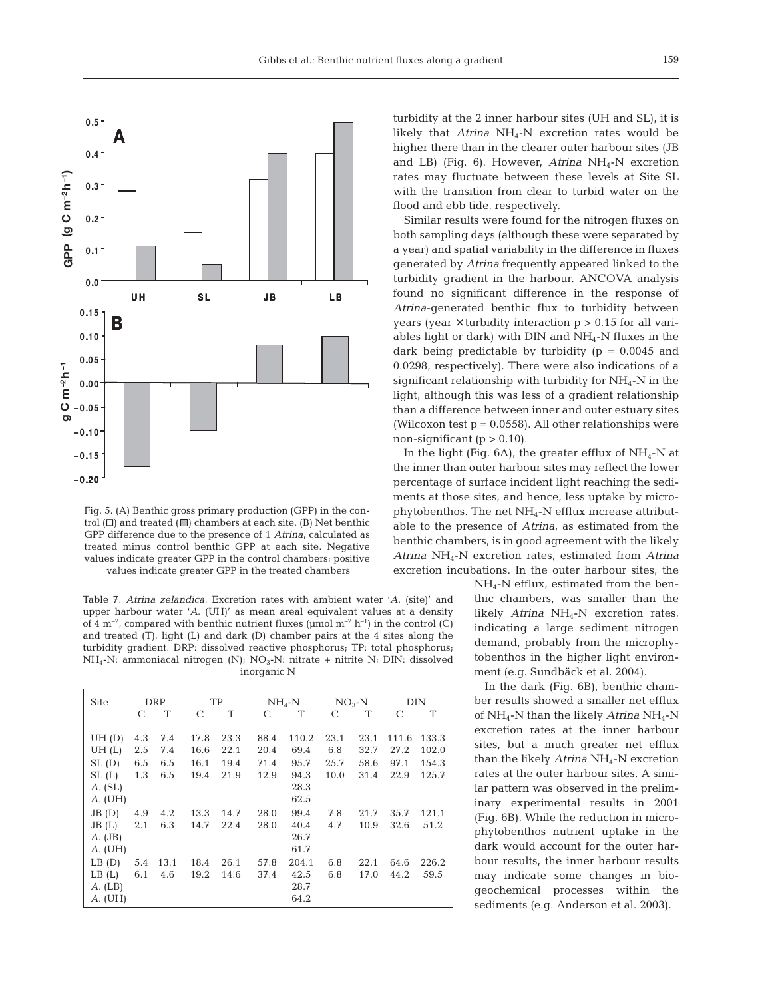

Fig. 5. (A) Benthic gross primary production (GPP) in the control  $(\Box)$  and treated  $(\Box)$  chambers at each site. (B) Net benthic GPP difference due to the presence of 1 *Atrina*, calculated as treated minus control benthic GPP at each site. Negative values indicate greater GPP in the control chambers; positive values indicate greater GPP in the treated chambers

Table 7. *Atrina zelandica*. Excretion rates with ambient water '*A*. (site)' and upper harbour water '*A*. (UH)' as mean areal equivalent values at a density of 4  $\mathrm{m}^{-2}$ , compared with benthic nutrient fluxes (µmol  $\mathrm{m}^{-2}$  h<sup>-1</sup>) in the control (C) and treated (T), light (L) and dark (D) chamber pairs at the 4 sites along the turbidity gradient. DRP: dissolved reactive phosphorus; TP: total phosphorus; NH<sub>4</sub>-N: ammoniacal nitrogen (N);  $NO_3$ -N: nitrate + nitrite N; DIN: dissolved inorganic N

| <b>Site</b> |     | DRP  |      | TP   |      | $NH_{4}$ -N |      | $NO3-N$ |       | DIN   |
|-------------|-----|------|------|------|------|-------------|------|---------|-------|-------|
|             | C   | T    | C    | T    | C    | T           | C    | T       | C     | T     |
| UH(D)       | 4.3 | 7.4  | 17.8 | 23.3 | 88.4 | 110.2       | 23.1 | 23.1    | 111.6 | 133.3 |
| UH(L)       | 2.5 | 7.4  | 16.6 | 22.1 | 20.4 | 69.4        | 6.8  | 32.7    | 27.2  | 102.0 |
| SL(D)       | 6.5 | 6.5  | 16.1 | 19.4 | 71.4 | 95.7        | 25.7 | 58.6    | 97.1  | 154.3 |
| SL(L)       | 1.3 | 6.5  | 19.4 | 21.9 | 12.9 | 94.3        | 10.0 | 31.4    | 22.9  | 125.7 |
| $A.$ (SL)   |     |      |      |      |      | 28.3        |      |         |       |       |
| $A.$ (UH)   |     |      |      |      |      | 62.5        |      |         |       |       |
| JB(D)       | 4.9 | 4.2  | 13.3 | 14.7 | 28.0 | 99.4        | 7.8  | 21.7    | 35.7  | 121.1 |
| JB(L)       | 2.1 | 6.3  | 14.7 | 22.4 | 28.0 | 40.4        | 4.7  | 10.9    | 32.6  | 51.2  |
| A. (JB)     |     |      |      |      |      | 26.7        |      |         |       |       |
| $A.$ (UH)   |     |      |      |      |      | 61.7        |      |         |       |       |
| LB(D)       | 5.4 | 13.1 | 18.4 | 26.1 | 57.8 | 204.1       | 6.8  | 22.1    | 64.6  | 226.2 |
| LB(L)       | 6.1 | 4.6  | 19.2 | 14.6 | 37.4 | 42.5        | 6.8  | 17.0    | 44.2  | 59.5  |
| $A.$ (LB)   |     |      |      |      |      | 28.7        |      |         |       |       |
| $A.$ (UH)   |     |      |      |      |      | 64.2        |      |         |       |       |

turbidity at the 2 inner harbour sites (UH and SL), it is likely that *Atrina* NH<sub>4</sub>-N excretion rates would be higher there than in the clearer outer harbour sites (JB and LB) (Fig. 6). However, Atrina NH<sub>4</sub>-N excretion rates may fluctuate between these levels at Site SL with the transition from clear to turbid water on the flood and ebb tide, respectively.

Similar results were found for the nitrogen fluxes on both sampling days (although these were separated by a year) and spatial variability in the difference in fluxes generated by *Atrina* frequently appeared linked to the turbidity gradient in the harbour. ANCOVA analysis found no significant difference in the response of *Atrina*-generated benthic flux to turbidity between years (year  $\times$  turbidity interaction  $p > 0.15$  for all variables light or dark) with DIN and  $NH_4$ -N fluxes in the dark being predictable by turbidity  $(p = 0.0045$  and 0.0298, respectively). There were also indications of a significant relationship with turbidity for  $NH<sub>4</sub>-N$  in the light, although this was less of a gradient relationship than a difference between inner and outer estuary sites (Wilcoxon test  $p = 0.0558$ ). All other relationships were non-significant ( $p > 0.10$ ).

In the light (Fig.  $6A$ ), the greater efflux of NH<sub>4</sub>-N at the inner than outer harbour sites may reflect the lower percentage of surface incident light reaching the sediments at those sites, and hence, less uptake by microphytobenthos. The net NH4-N efflux increase attributable to the presence of *Atrina*, as estimated from the benthic chambers, is in good agreement with the likely *Atrina* NH4-N excretion rates, estimated from *Atrina* excretion incubations. In the outer harbour sites, the

NH4-N efflux, estimated from the benthic chambers, was smaller than the likely *Atrina* NH<sub>4</sub>-N excretion rates, indicating a large sediment nitrogen demand, probably from the microphytobenthos in the higher light environment (e.g. Sundbäck et al. 2004).

In the dark (Fig. 6B), benthic chamber results showed a smaller net efflux of NH4-N than the likely *Atrina* NH4-N excretion rates at the inner harbour sites, but a much greater net efflux than the likely *Atrina* NH<sub>4</sub>-N excretion rates at the outer harbour sites. A similar pattern was observed in the preliminary experimental results in 2001 (Fig. 6B). While the reduction in microphytobenthos nutrient uptake in the dark would account for the outer harbour results, the inner harbour results may indicate some changes in biogeochemical processes within the sediments (e.g. Anderson et al. 2003).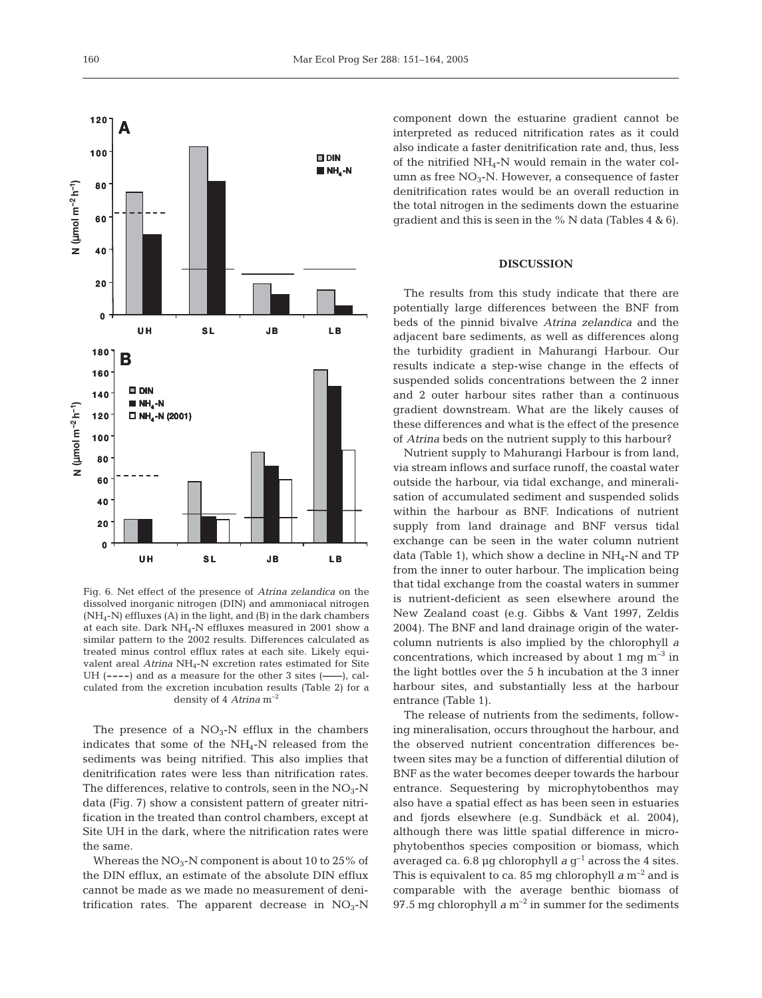

Fig. 6. Net effect of the presence of *Atrina zelandica* on the dissolved inorganic nitrogen (DIN) and ammoniacal nitrogen (NH4-N) effluxes (A) in the light, and (B) in the dark chambers at each site. Dark  $NH_4$ -N effluxes measured in 2001 show a similar pattern to the 2002 results. Differences calculated as treated minus control efflux rates at each site. Likely equivalent areal *Atrina* NH<sub>4</sub>-N excretion rates estimated for Site UH (**----**) and as a measure for the other 3 sites (**––––**), calculated from the excretion incubation results (Table 2) for a density of 4 *Atrina* m–2

The presence of a  $NO<sub>3</sub>$ -N efflux in the chambers indicates that some of the NH4-N released from the sediments was being nitrified. This also implies that denitrification rates were less than nitrification rates. The differences, relative to controls, seen in the  $NO<sub>3</sub>-N$ data (Fig. 7) show a consistent pattern of greater nitrification in the treated than control chambers, except at Site UH in the dark, where the nitrification rates were the same.

Whereas the  $NO<sub>3</sub>$ -N component is about 10 to 25% of the DIN efflux, an estimate of the absolute DIN efflux cannot be made as we made no measurement of denitrification rates. The apparent decrease in  $NO<sub>3</sub>-N$  component down the estuarine gradient cannot be interpreted as reduced nitrification rates as it could also indicate a faster denitrification rate and, thus, less of the nitrified  $NH<sub>4</sub>$ -N would remain in the water column as free  $NO<sub>3</sub>$ -N. However, a consequence of faster denitrification rates would be an overall reduction in the total nitrogen in the sediments down the estuarine gradient and this is seen in the % N data (Tables 4 & 6).

# **DISCUSSION**

The results from this study indicate that there are potentially large differences between the BNF from beds of the pinnid bivalve *Atrina zelandica* and the adjacent bare sediments, as well as differences along the turbidity gradient in Mahurangi Harbour. Our results indicate a step-wise change in the effects of suspended solids concentrations between the 2 inner and 2 outer harbour sites rather than a continuous gradient downstream. What are the likely causes of these differences and what is the effect of the presence of *Atrina* beds on the nutrient supply to this harbour?

Nutrient supply to Mahurangi Harbour is from land, via stream inflows and surface runoff, the coastal water outside the harbour, via tidal exchange, and mineralisation of accumulated sediment and suspended solids within the harbour as BNF. Indications of nutrient supply from land drainage and BNF versus tidal exchange can be seen in the water column nutrient data (Table 1), which show a decline in  $NH_4$ -N and TP from the inner to outer harbour. The implication being that tidal exchange from the coastal waters in summer is nutrient-deficient as seen elsewhere around the New Zealand coast (e.g. Gibbs & Vant 1997, Zeldis 2004). The BNF and land drainage origin of the watercolumn nutrients is also implied by the chlorophyll *a* concentrations, which increased by about 1 mg  $\mathrm{m}^{-3}$  in the light bottles over the 5 h incubation at the 3 inner harbour sites, and substantially less at the harbour entrance (Table 1).

The release of nutrients from the sediments, following mineralisation, occurs throughout the harbour, and the observed nutrient concentration differences between sites may be a function of differential dilution of BNF as the water becomes deeper towards the harbour entrance. Sequestering by microphytobenthos may also have a spatial effect as has been seen in estuaries and fjords elsewhere (e.g. Sundbäck et al. 2004), although there was little spatial difference in microphytobenthos species composition or biomass, which averaged ca. 6.8 µg chlorophyll  $a \, g^{-1}$  across the 4 sites. This is equivalent to ca. 85 mg chlorophyll  $a$  m<sup>-2</sup> and is comparable with the average benthic biomass of 97.5 mg chlorophyll  $a$  m<sup>-2</sup> in summer for the sediments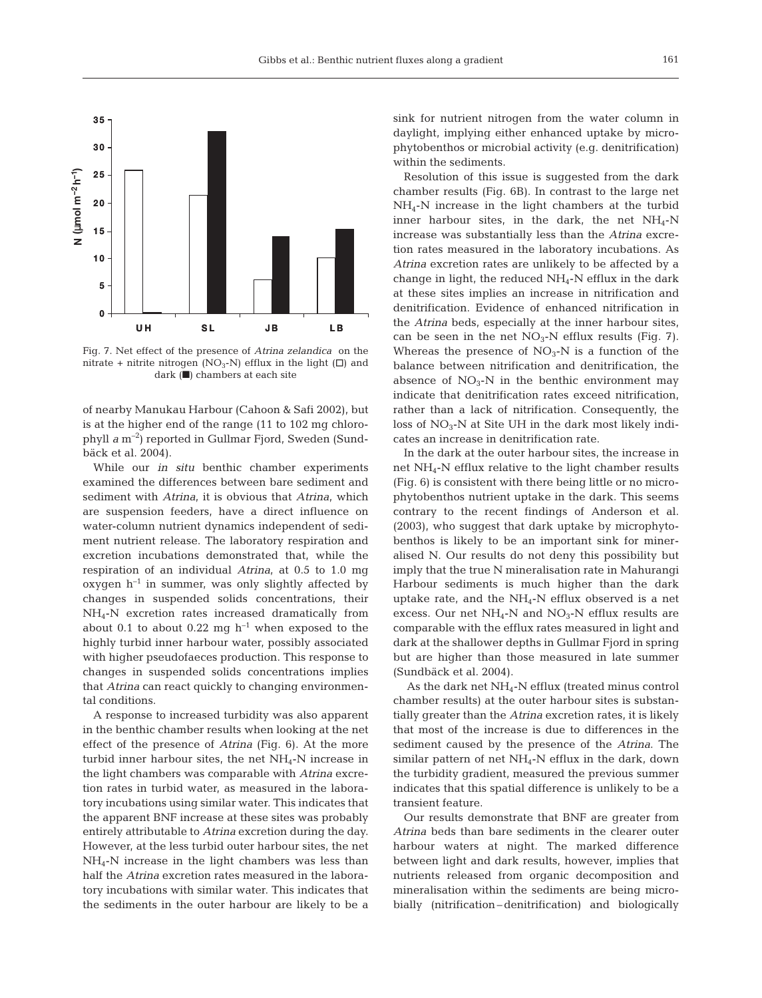

Fig. 7. Net effect of the presence of *Atrina zelandica* on the nitrate + nitrite nitrogen (NO<sub>3</sub>-N) efflux in the light ( $\Box$ ) and dark (■) chambers at each site

of nearby Manukau Harbour (Cahoon & Safi 2002), but is at the higher end of the range (11 to 102 mg chlorophyll *a* m–2) reported in Gullmar Fjord, Sweden (Sundbäck et al. 2004).

While our *in situ* benthic chamber experiments examined the differences between bare sediment and sediment with *Atrina*, it is obvious that *Atrina*, which are suspension feeders, have a direct influence on water-column nutrient dynamics independent of sediment nutrient release. The laboratory respiration and excretion incubations demonstrated that, while the respiration of an individual *Atrina*, at 0.5 to 1.0 mg oxygen  $h^{-1}$  in summer, was only slightly affected by changes in suspended solids concentrations, their NH4-N excretion rates increased dramatically from about 0.1 to about 0.22 mg  $h^{-1}$  when exposed to the highly turbid inner harbour water, possibly associated with higher pseudofaeces production. This response to changes in suspended solids concentrations implies that *Atrina* can react quickly to changing environmental conditions.

A response to increased turbidity was also apparent in the benthic chamber results when looking at the net effect of the presence of *Atrina* (Fig. 6). At the more turbid inner harbour sites, the net  $NH_4$ -N increase in the light chambers was comparable with *Atrina* excretion rates in turbid water, as measured in the laboratory incubations using similar water. This indicates that the apparent BNF increase at these sites was probably entirely attributable to *Atrina* excretion during the day. However, at the less turbid outer harbour sites, the net NH4-N increase in the light chambers was less than half the *Atrina* excretion rates measured in the laboratory incubations with similar water. This indicates that the sediments in the outer harbour are likely to be a

sink for nutrient nitrogen from the water column in daylight, implying either enhanced uptake by microphytobenthos or microbial activity (e.g. denitrification) within the sediments.

Resolution of this issue is suggested from the dark chamber results (Fig. 6B). In contrast to the large net NH4-N increase in the light chambers at the turbid inner harbour sites, in the dark, the net  $NH_4$ -N increase was substantially less than the *Atrina* excretion rates measured in the laboratory incubations. As *Atrina* excretion rates are unlikely to be affected by a change in light, the reduced  $NH_4$ -N efflux in the dark at these sites implies an increase in nitrification and denitrification. Evidence of enhanced nitrification in the *Atrina* beds, especially at the inner harbour sites, can be seen in the net  $NO<sub>3</sub>-N$  efflux results (Fig. 7). Whereas the presence of  $NO<sub>3</sub>$ -N is a function of the balance between nitrification and denitrification, the absence of  $NO<sub>3</sub>-N$  in the benthic environment may indicate that denitrification rates exceed nitrification, rather than a lack of nitrification. Consequently, the loss of  $NO_3$ -N at Site UH in the dark most likely indicates an increase in denitrification rate.

In the dark at the outer harbour sites, the increase in net NH4-N efflux relative to the light chamber results (Fig. 6) is consistent with there being little or no microphytobenthos nutrient uptake in the dark. This seems contrary to the recent findings of Anderson et al. (2003), who suggest that dark uptake by microphytobenthos is likely to be an important sink for mineralised N. Our results do not deny this possibility but imply that the true N mineralisation rate in Mahurangi Harbour sediments is much higher than the dark uptake rate, and the  $NH_4$ -N efflux observed is a net excess. Our net  $NH_4$ -N and  $NO_3$ -N efflux results are comparable with the efflux rates measured in light and dark at the shallower depths in Gullmar Fjord in spring but are higher than those measured in late summer (Sundbäck et al. 2004).

As the dark net  $NH<sub>4</sub>-N$  efflux (treated minus control chamber results) at the outer harbour sites is substantially greater than the *Atrina* excretion rates, it is likely that most of the increase is due to differences in the sediment caused by the presence of the *Atrina*. The similar pattern of net  $NH_4$ -N efflux in the dark, down the turbidity gradient, measured the previous summer indicates that this spatial difference is unlikely to be a transient feature.

Our results demonstrate that BNF are greater from *Atrina* beds than bare sediments in the clearer outer harbour waters at night. The marked difference between light and dark results, however, implies that nutrients released from organic decomposition and mineralisation within the sediments are being microbially (nitrification– denitrification) and biologically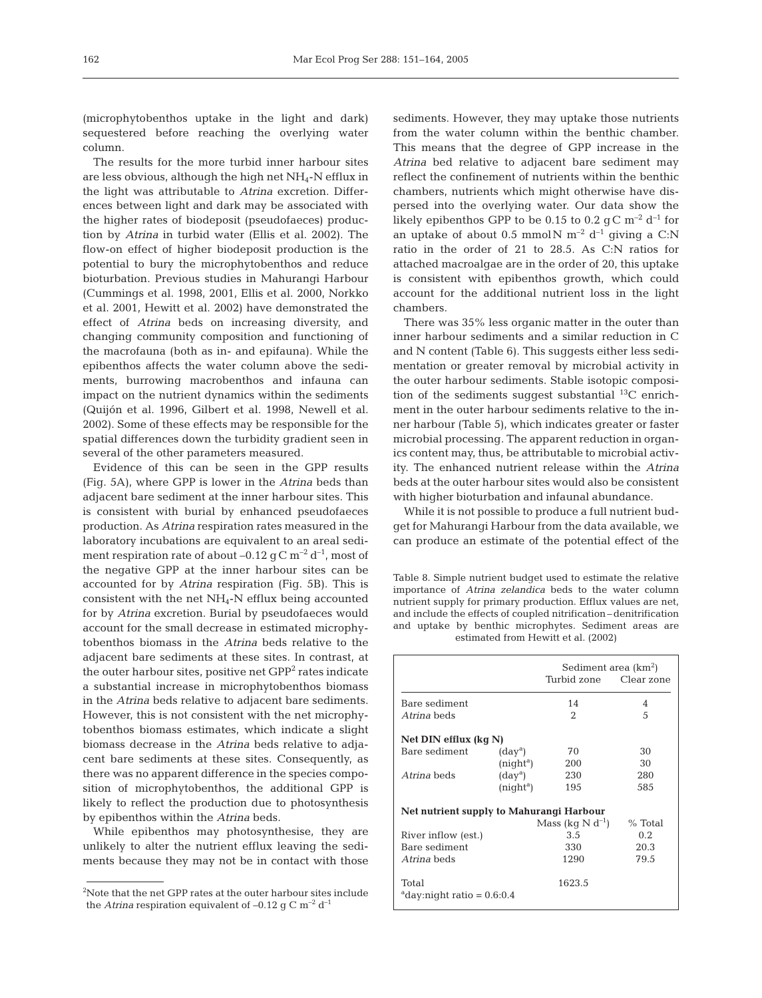(microphytobenthos uptake in the light and dark) sequestered before reaching the overlying water column.

The results for the more turbid inner harbour sites are less obvious, although the high net NH4-N efflux in the light was attributable to *Atrina* excretion. Differences between light and dark may be associated with the higher rates of biodeposit (pseudofaeces) production by *Atrina* in turbid water (Ellis et al. 2002). The flow-on effect of higher biodeposit production is the potential to bury the microphytobenthos and reduce bioturbation. Previous studies in Mahurangi Harbour (Cummings et al. 1998, 2001, Ellis et al. 2000, Norkko et al. 2001, Hewitt et al. 2002) have demonstrated the effect of *Atrina* beds on increasing diversity, and changing community composition and functioning of the macrofauna (both as in- and epifauna). While the epibenthos affects the water column above the sediments, burrowing macrobenthos and infauna can impact on the nutrient dynamics within the sediments (Quijón et al. 1996, Gilbert et al. 1998, Newell et al. 2002). Some of these effects may be responsible for the spatial differences down the turbidity gradient seen in several of the other parameters measured.

Evidence of this can be seen in the GPP results (Fig. 5A), where GPP is lower in the *Atrina* beds than adjacent bare sediment at the inner harbour sites. This is consistent with burial by enhanced pseudofaeces production. As *Atrina* respiration rates measured in the laboratory incubations are equivalent to an areal sediment respiration rate of about  $-0.12$  g C m<sup>-2</sup> d<sup>-1</sup>, most of the negative GPP at the inner harbour sites can be accounted for by *Atrina* respiration (Fig. 5B). This is consistent with the net  $NH_4$ -N efflux being accounted for by *Atrina* excretion. Burial by pseudofaeces would account for the small decrease in estimated microphytobenthos biomass in the *Atrina* beds relative to the adjacent bare sediments at these sites. In contrast, at the outer harbour sites, positive net GPP<sup>2</sup> rates indicate a substantial increase in microphytobenthos biomass in the *Atrina* beds relative to adjacent bare sediments. However, this is not consistent with the net microphytobenthos biomass estimates, which indicate a slight biomass decrease in the *Atrina* beds relative to adjacent bare sediments at these sites. Consequently, as there was no apparent difference in the species composition of microphytobenthos, the additional GPP is likely to reflect the production due to photosynthesis by epibenthos within the *Atrina* beds.

While epibenthos may photosynthesise, they are unlikely to alter the nutrient efflux leaving the sediments because they may not be in contact with those sediments. However, they may uptake those nutrients from the water column within the benthic chamber. This means that the degree of GPP increase in the *Atrina* bed relative to adjacent bare sediment may reflect the confinement of nutrients within the benthic chambers, nutrients which might otherwise have dispersed into the overlying water. Our data show the likely epibenthos GPP to be 0.15 to 0.2  $qC m^{-2} d^{-1}$  for an uptake of about 0.5 mmol N  $m^{-2}$  d<sup>-1</sup> giving a C:N ratio in the order of 21 to 28.5. As C:N ratios for attached macroalgae are in the order of 20, this uptake is consistent with epibenthos growth, which could account for the additional nutrient loss in the light chambers.

There was 35% less organic matter in the outer than inner harbour sediments and a similar reduction in C and N content (Table 6). This suggests either less sedimentation or greater removal by microbial activity in the outer harbour sediments. Stable isotopic composition of the sediments suggest substantial  $^{13}$ C enrichment in the outer harbour sediments relative to the inner harbour (Table 5), which indicates greater or faster microbial processing. The apparent reduction in organics content may, thus, be attributable to microbial activity. The enhanced nutrient release within the *Atrina* beds at the outer harbour sites would also be consistent with higher bioturbation and infaunal abundance.

While it is not possible to produce a full nutrient budget for Mahurangi Harbour from the data available, we can produce an estimate of the potential effect of the

Table 8. Simple nutrient budget used to estimate the relative importance of *Atrina zelandica* beds to the water column nutrient supply for primary production. Efflux values are net, and include the effects of coupled nitrification– denitrification and uptake by benthic microphytes. Sediment areas are estimated from Hewitt et al. (2002)

|                                               | Sediment area (km <sup>2</sup> ) |                       |            |  |  |  |
|-----------------------------------------------|----------------------------------|-----------------------|------------|--|--|--|
|                                               |                                  | Turbid zone           | Clear zone |  |  |  |
| Bare sediment                                 |                                  | 14                    | 4          |  |  |  |
| Atrina beds                                   |                                  | $\mathfrak{D}$        | 5          |  |  |  |
| Net DIN efflux (kg N)                         |                                  |                       |            |  |  |  |
| Bare sediment                                 | $(day^a)$                        | 70                    | 30         |  |  |  |
|                                               | (night <sup>a</sup> )            | 200                   | 30         |  |  |  |
| Atrina beds                                   | $(day^a)$                        | 230                   | 280        |  |  |  |
|                                               | (night <sup>a</sup> )            | 195                   | 585        |  |  |  |
| Net nutrient supply to Mahurangi Harbour      |                                  |                       |            |  |  |  |
|                                               |                                  | Mass (kg $N d^{-1}$ ) | $%$ Total  |  |  |  |
| River inflow (est.)                           |                                  | 3.5                   | 0.2        |  |  |  |
| Bare sediment                                 |                                  | 330                   | 20.3       |  |  |  |
| Atrina beds                                   |                                  | 1290                  | 79.5       |  |  |  |
| Total<br>$^{\circ}$ day:niqht ratio = 0.6:0.4 |                                  | 1623.5                |            |  |  |  |

<sup>&</sup>lt;sup>2</sup>Note that the net GPP rates at the outer harbour sites include  $\qquad$  <sup>a</sup>day:night ratio = 0.6:0.4 the *Atrina* respiration equivalent of –0.12 g C  $m^{-2} d^{-1}$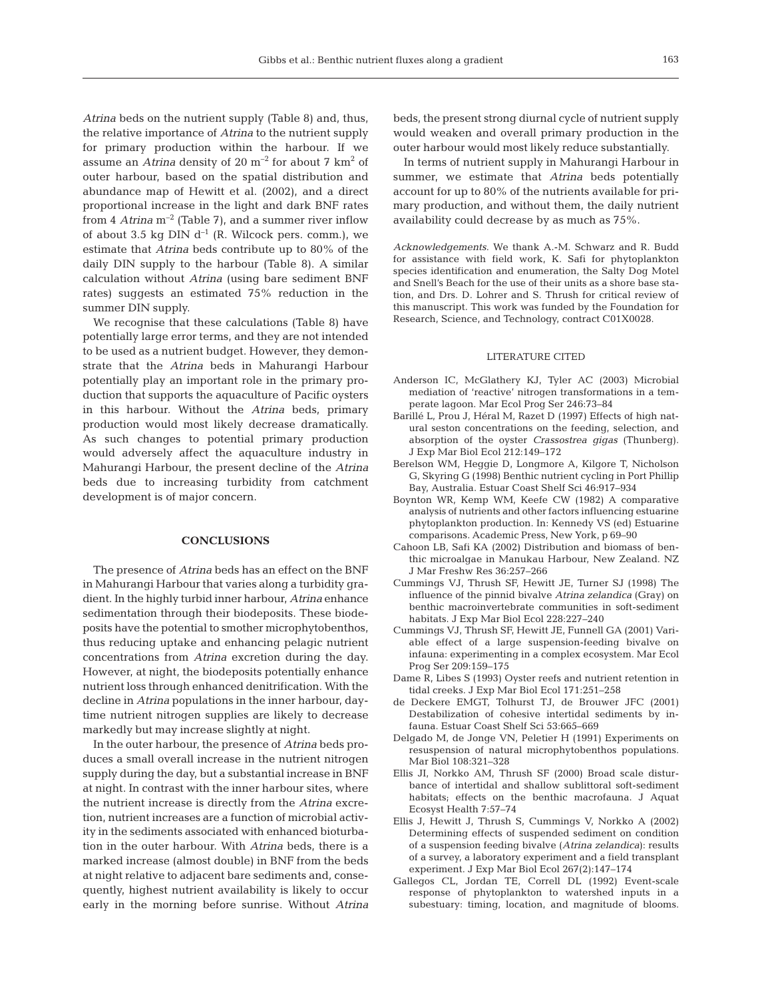*Atrina* beds on the nutrient supply (Table 8) and, thus, the relative importance of *Atrina* to the nutrient supply for primary production within the harbour. If we assume an *Atrina* density of 20 m–2 for about 7 km2 of outer harbour, based on the spatial distribution and abundance map of Hewitt et al. (2002), and a direct proportional increase in the light and dark BNF rates from 4 *Atrina*  $m^{-2}$  (Table 7), and a summer river inflow of about 3.5 kg DIN  $d^{-1}$  (R. Wilcock pers. comm.), we estimate that *Atrina* beds contribute up to 80% of the daily DIN supply to the harbour (Table 8). A similar calculation without *Atrina* (using bare sediment BNF rates) suggests an estimated 75% reduction in the summer DIN supply.

We recognise that these calculations (Table 8) have potentially large error terms, and they are not intended to be used as a nutrient budget. However, they demonstrate that the *Atrina* beds in Mahurangi Harbour potentially play an important role in the primary production that supports the aquaculture of Pacific oysters in this harbour. Without the *Atrina* beds, primary production would most likely decrease dramatically. As such changes to potential primary production would adversely affect the aquaculture industry in Mahurangi Harbour, the present decline of the *Atrina* beds due to increasing turbidity from catchment development is of major concern.

### **CONCLUSIONS**

The presence of *Atrina* beds has an effect on the BNF in Mahurangi Harbour that varies along a turbidity gradient. In the highly turbid inner harbour, *Atrina* enhance sedimentation through their biodeposits. These biodeposits have the potential to smother microphytobenthos, thus reducing uptake and enhancing pelagic nutrient concentrations from *Atrina* excretion during the day. However, at night, the biodeposits potentially enhance nutrient loss through enhanced denitrification. With the decline in *Atrina* populations in the inner harbour, daytime nutrient nitrogen supplies are likely to decrease markedly but may increase slightly at night.

In the outer harbour, the presence of *Atrina* beds produces a small overall increase in the nutrient nitrogen supply during the day, but a substantial increase in BNF at night. In contrast with the inner harbour sites, where the nutrient increase is directly from the *Atrina* excretion, nutrient increases are a function of microbial activity in the sediments associated with enhanced bioturbation in the outer harbour. With *Atrina* beds, there is a marked increase (almost double) in BNF from the beds at night relative to adjacent bare sediments and, consequently, highest nutrient availability is likely to occur early in the morning before sunrise. Without *Atrina*

beds, the present strong diurnal cycle of nutrient supply would weaken and overall primary production in the outer harbour would most likely reduce substantially.

In terms of nutrient supply in Mahurangi Harbour in summer, we estimate that *Atrina* beds potentially account for up to 80% of the nutrients available for primary production, and without them, the daily nutrient availability could decrease by as much as 75%.

*Acknowledgements*. We thank A.-M. Schwarz and R. Budd for assistance with field work, K. Safi for phytoplankton species identification and enumeration, the Salty Dog Motel and Snell's Beach for the use of their units as a shore base station, and Drs. D. Lohrer and S. Thrush for critical review of this manuscript. This work was funded by the Foundation for Research, Science, and Technology, contract C01X0028.

# LITERATURE CITED

- Anderson IC, McGlathery KJ, Tyler AC (2003) Microbial mediation of 'reactive' nitrogen transformations in a temperate lagoon. Mar Ecol Prog Ser 246:73–84
- Barillé L, Prou J, Héral M, Razet D (1997) Effects of high natural seston concentrations on the feeding, selection, and absorption of the oyster *Crassostrea gigas* (Thunberg). J Exp Mar Biol Ecol 212:149–172
- Berelson WM, Heggie D, Longmore A, Kilgore T, Nicholson G, Skyring G (1998) Benthic nutrient cycling in Port Phillip Bay, Australia. Estuar Coast Shelf Sci 46:917–934
- Boynton WR, Kemp WM, Keefe CW (1982) A comparative analysis of nutrients and other factors influencing estuarine phytoplankton production. In: Kennedy VS (ed) Estuarine comparisons. Academic Press, New York, p 69–90
- Cahoon LB, Safi KA (2002) Distribution and biomass of benthic microalgae in Manukau Harbour, New Zealand. NZ J Mar Freshw Res 36:257–266
- Cummings VJ, Thrush SF, Hewitt JE, Turner SJ (1998) The influence of the pinnid bivalve *Atrina zelandica* (Gray) on benthic macroinvertebrate communities in soft-sediment habitats. J Exp Mar Biol Ecol 228:227–240
- Cummings VJ, Thrush SF, Hewitt JE, Funnell GA (2001) Variable effect of a large suspension-feeding bivalve on infauna: experimenting in a complex ecosystem. Mar Ecol Prog Ser 209:159–175
- Dame R, Libes S (1993) Oyster reefs and nutrient retention in tidal creeks. J Exp Mar Biol Ecol 171:251–258
- de Deckere EMGT, Tolhurst TJ, de Brouwer JFC (2001) Destabilization of cohesive intertidal sediments by infauna. Estuar Coast Shelf Sci 53:665–669
- Delgado M, de Jonge VN, Peletier H (1991) Experiments on resuspension of natural microphytobenthos populations. Mar Biol 108:321–328
- Ellis JI, Norkko AM, Thrush SF (2000) Broad scale disturbance of intertidal and shallow sublittoral soft-sediment habitats; effects on the benthic macrofauna. J Aquat Ecosyst Health 7:57–74
- Ellis J, Hewitt J, Thrush S, Cummings V, Norkko A (2002) Determining effects of suspended sediment on condition of a suspension feeding bivalve (*Atrina zelandica*): results of a survey, a laboratory experiment and a field transplant experiment. J Exp Mar Biol Ecol 267(2):147–174
- Gallegos CL, Jordan TE, Correll DL (1992) Event-scale response of phytoplankton to watershed inputs in a subestuary: timing, location, and magnitude of blooms.